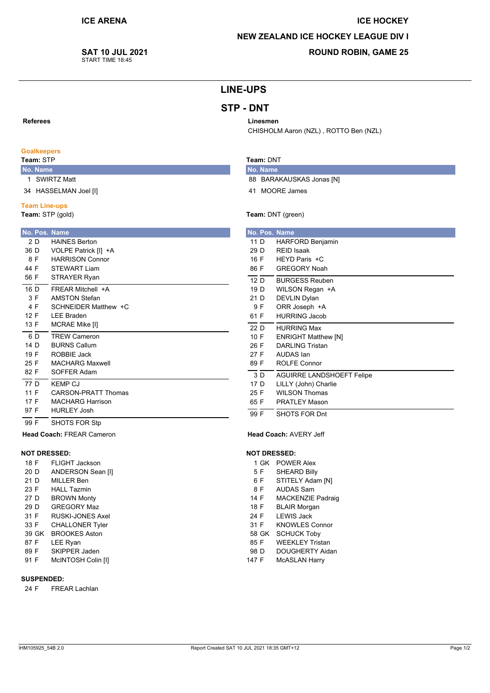# **NEW ZEALAND ICE HOCKEY LEAGUE DIV I**

SAT 10 JUL 2021 START TIME 18:45

# **ROUND ROBIN, GAME 25**

**ICE HOCKEY** 

# **LINE-UPS**

# **STP - DNT**

### Linesmen

Team: DNT

No. Name

CHISHOLM Aaron (NZL), ROTTO Ben (NZL)

88 BARAKAUSKAS Jonas [N]

REID Isaak

HFYD Paris +C

**GREGORY Noah** 

**DEVLIN Dylan** 

ORR Joseph +A **HURRING Jacob** 

**HURRING Max** 

**DARLING Tristan** 

**ROLFE Connor** 

AUDAS lan

**ENRIGHT Matthew [N]** 

LILLY (John) Charlie

**WILSON Thomas** 

**PRATLEY Mason** 

SHOTS FOR Dnt

Head Coach: AVERY Jeff

1 GK POWER Alex

**SHEARD Billy** 

**NOT DRESSED:** 

**AGUIRRE LANDSHOEFT Felipe** 

**BURGESS Reuben** 

WILSON Regan +A

**HARFORD Benjamin** 

41 MOORE James

Team: DNT (green)

No. Pos. Name  $11D$ 

 $29D$ 

 $16F$ 

86 F

 $\overline{12}$  D

19 D

21 D

9F

61 F  $\frac{1}{22}$  D

10 F

26 F

 $27 F$ 

89 F

 $\overline{3}$   $\overline{D}$ 17 D

 $25 F$ 

65 F

 $\frac{1}{99}$  F

 $5F$ 

## **Goalkeepers**

Referees

#### Team: STP

- No. Name
- 1 SWIRTZ Matt
- 34 HASSELMAN Joel [I]

#### **Team Line-ups**

Team: STP (gold)

| No. Pos. Name |                         |
|---------------|-------------------------|
| 2 D           | <b>HAINES Berton</b>    |
| 36 D          | VOLPE Patrick [I] +A    |
| 8 F           | <b>HARRISON Connor</b>  |
| 44 F          | STFWART Liam            |
| 56 F          | STRAYER Ryan            |
| 16 D          | FRFAR Mitchell +A       |
| 3 F           | <b>AMSTON Stefan</b>    |
| 4 F           | SCHNEIDER Matthew +C    |
| 12 F          | <b>LEE Braden</b>       |
| 13 F          | MCRAE Mike [I]          |
| 6 D           | <b>TRFW Cameron</b>     |
| 14 D          | <b>BURNS Callum</b>     |
| 19 F          | ROBBIE Jack             |
| 25 F          | <b>MACHARG Maxwell</b>  |
| 82 F          | SOFFFR Adam             |
| 77 D          | <b>KFMP CJ</b>          |
| 11 F          | CARSON-PRATT Thomas     |
| 17 F          | <b>MACHARG Harrison</b> |
| 97 F          | <b>HURLEY Josh</b>      |
| 99 F          | SHOTS FOR Stp           |

#### Head Coach: FREAR Cameron

### **NOT DRESSED:**

- 18 F FLIGHT Jackson  $20D$ ANDERSON Sean III
- 21 D MILLER Ben
- 23 F **HALL Tazmin**
- $27<sub>D</sub>$ **BROWN Monty**
- **GREGORY Maz** 29 D
- 31 F **RUSKI-JONES Axel**
- 33 F **CHALLONER Tyler**
- 39 GK BROOKES Aston
- 87 F LEE Ryan 89 F
- SKIPPER Jaden 91 F McINTOSH Colin [I]

## **SUSPENDED:**

24 F **FREAR Lachlan** 

6 F STITELY Adam [N] 8 F **AUDAS Sam** 14 F MACKENZIE Padraig 18 F **BLAIR Morgan** 24 F **LEWIS Jack** 31 F **KNOWLES Connor** 58 GK SCHUCK Toby 85 F **WEEKLEY Tristan** 98 D DOUGHERTY Aidan 147 F **McASLAN Harry**